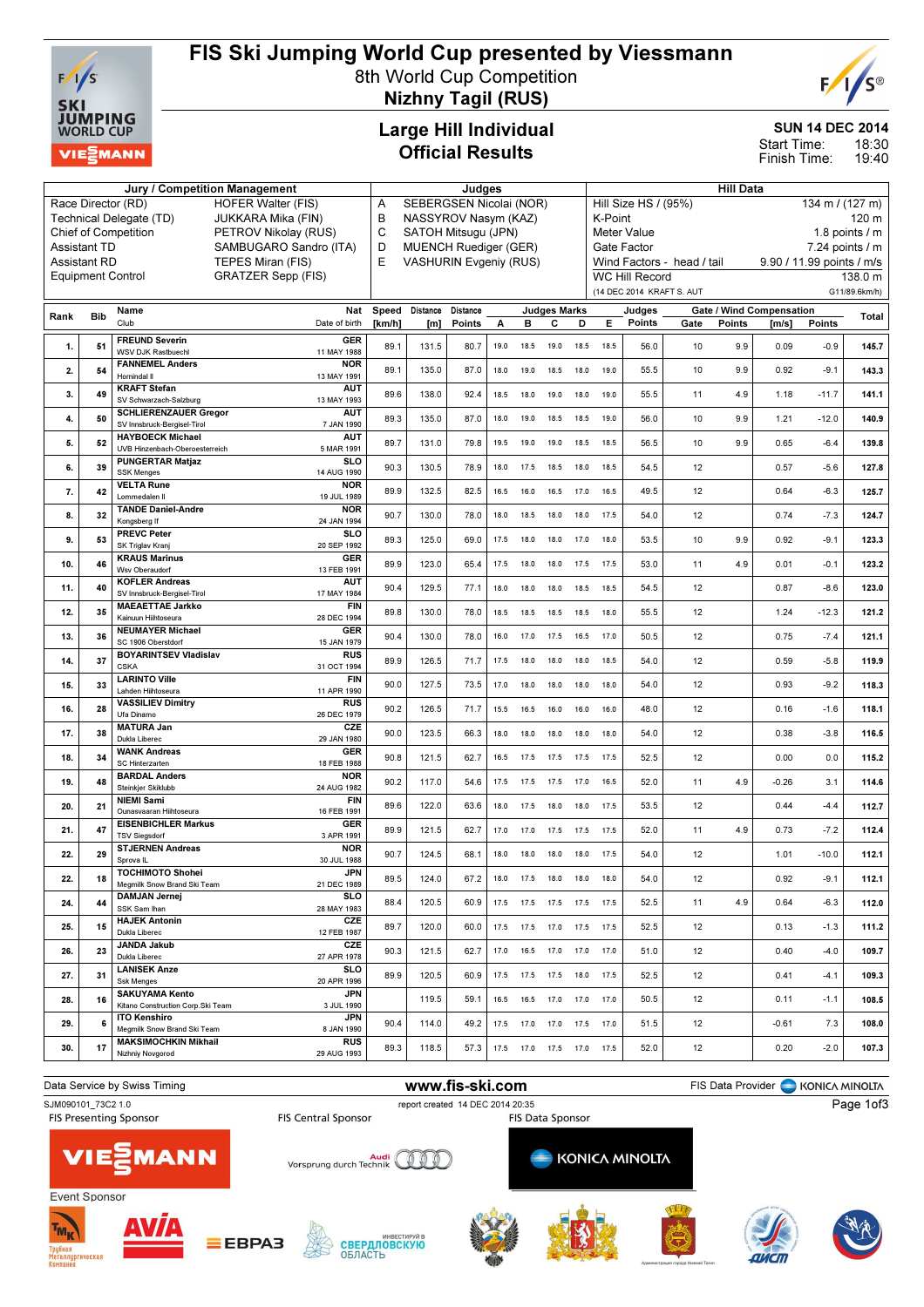

## FIS Ski Jumping World Cup presented by Viessmann

8th World Cup Competition Nizhny Tagil (RUS)



SUN 14 DEC 2014

18:30 19:40 Start Time: Finish Time:

### Large Hill Individual Official Results

| Jury / Competition Management<br><b>HOFER Walter (FIS)</b> |                     |                                                             |                              |                                             | Judges                        |          |      |           |                        |                                           |      | <b>Hill Data</b>           |      |        |                                 |         |               |  |
|------------------------------------------------------------|---------------------|-------------------------------------------------------------|------------------------------|---------------------------------------------|-------------------------------|----------|------|-----------|------------------------|-------------------------------------------|------|----------------------------|------|--------|---------------------------------|---------|---------------|--|
|                                                            |                     | Race Director (RD)                                          | SEBERGSEN Nicolai (NOR)<br>A |                                             |                               |          |      |           |                        | Hill Size HS / (95%)<br>134 m / $(127 m)$ |      |                            |      |        |                                 |         |               |  |
|                                                            |                     | Technical Delegate (TD)                                     | B<br>NASSYROV Nasym (KAZ)    |                                             |                               |          |      |           |                        | K-Point<br>120 m                          |      |                            |      |        |                                 |         |               |  |
|                                                            |                     | <b>Chief of Competition</b>                                 | C                            |                                             | SATOH Mitsugu (JPN)           |          |      |           |                        | 1.8 points $/$ m<br>Meter Value           |      |                            |      |        |                                 |         |               |  |
|                                                            | <b>Assistant TD</b> |                                                             | D                            | <b>MUENCH Ruediger (GER)</b><br>Gate Factor |                               |          |      |           |                        |                                           |      | $7.24$ points $/ m$        |      |        |                                 |         |               |  |
|                                                            | <b>Assistant RD</b> |                                                             | E                            |                                             | <b>VASHURIN Evgeniy (RUS)</b> |          |      |           |                        |                                           |      | Wind Factors - head / tail |      |        | 9.90 / 11.99 points / m/s       |         |               |  |
|                                                            |                     | <b>Equipment Control</b>                                    | <b>GRATZER Sepp (FIS)</b>    |                                             |                               |          |      |           |                        |                                           |      | <b>WC Hill Record</b>      |      |        |                                 |         | 138.0 m       |  |
|                                                            |                     |                                                             |                              |                                             |                               |          |      |           |                        |                                           |      | (14 DEC 2014 KRAFT S. AUT  |      |        |                                 |         | G11/89.6km/h) |  |
|                                                            |                     | Name                                                        | Nat                          | Speed                                       | Distance                      | Distance |      |           | <b>Judges Marks</b>    |                                           |      |                            |      |        | <b>Gate / Wind Compensation</b> |         |               |  |
| Rank                                                       | <b>Bib</b>          | Club                                                        | Date of birth                | [km/h]                                      | [m]                           | Points   | А    | в         | С                      | D                                         | E.   | Judges<br>Points           | Gate | Points | [m/s]                           | Points  | Total         |  |
|                                                            |                     |                                                             |                              |                                             |                               |          |      |           |                        |                                           |      |                            |      |        |                                 |         |               |  |
| 1.                                                         | 51                  | <b>FREUND Severin</b><br><b>WSV DJK Rastbuechl</b>          | <b>GER</b><br>11 MAY 1988    | 89.1                                        | 131.5                         | 80.7     | 19.0 | 18.5      | 19.0                   | 18.5                                      | 18.5 | 56.0                       | 10   | 9.9    | 0.09                            | $-0.9$  | 145.7         |  |
|                                                            |                     | <b>FANNEMEL Anders</b>                                      | <b>NOR</b>                   |                                             |                               |          |      |           |                        |                                           |      |                            |      |        |                                 |         |               |  |
| 2.                                                         | 54                  | Hornindal II                                                | 13 MAY 1991                  | 89.1                                        | 135.0                         | 87.0     | 18.0 | 19.0      | 18.5                   | 18.0                                      | 19.0 | 55.5                       | 10   | 9.9    | 0.92                            | $-9.1$  | 143.3         |  |
| 3.                                                         | 49                  | <b>KRAFT Stefan</b>                                         | <b>AUT</b>                   | 89.6                                        | 138.0                         | 92.4     | 18.5 | 18.0      | 19.0                   | 18.0                                      | 19.0 | 55.5                       | 11   | 4.9    | 1.18                            | $-11.7$ | 141.1         |  |
|                                                            |                     | SV Schwarzach-Salzburg                                      | 13 MAY 1993                  |                                             |                               |          |      |           |                        |                                           |      |                            |      |        |                                 |         |               |  |
| 4.                                                         | 50                  | <b>SCHLIERENZAUER Gregor</b><br>SV Innsbruck-Bergisel-Tirol | <b>AUT</b><br>7 JAN 1990     | 89.3                                        | 135.0                         | 87.0     | 18.0 | 19.0      | 18.5                   | 18.5                                      | 19.0 | 56.0                       | 10   | 9.9    | 1.21                            | $-12.0$ | 140.9         |  |
|                                                            |                     | <b>HAYBOECK Michael</b>                                     | <b>AUT</b>                   |                                             |                               |          |      |           |                        |                                           |      |                            |      |        |                                 |         |               |  |
| 5.                                                         | 52                  | UVB Hinzenbach-Oberoesterreich                              | 5 MAR 1991                   | 89.7                                        | 131.0                         | 79.8     | 19.5 | 19.0      | 19.0                   | 18.5                                      | 18.5 | 56.5                       | 10   | 9.9    | 0.65                            | $-6.4$  | 139.8         |  |
| 6.                                                         | 39                  | <b>PUNGERTAR Matjaz</b>                                     | SLO                          | 90.3                                        | 130.5                         | 78.9     | 18.0 | 17.5      | 18.5                   | 18.0                                      | 18.5 | 54.5                       | 12   |        | 0.57                            | $-5.6$  | 127.8         |  |
|                                                            |                     | <b>SSK Menges</b><br><b>VELTA Rune</b>                      | 14 AUG 1990<br><b>NOR</b>    |                                             |                               |          |      |           |                        |                                           |      |                            |      |        |                                 |         |               |  |
| 7.                                                         | 42                  | Lommedalen II                                               | 19 JUL 1989                  | 89.9                                        | 132.5                         | 82.5     | 16.5 | 16.0      | 16.5                   | 17.0                                      | 16.5 | 49.5                       | 12   |        | 0.64                            | $-6.3$  | 125.7         |  |
| 8.                                                         | 32                  | <b>TANDE Daniel-Andre</b>                                   | <b>NOR</b>                   | 90.7                                        | 130.0                         | 78.0     | 18.0 | 18.5      | 18.0                   | 18.0                                      | 17.5 |                            | 12   |        | 0.74                            | $-7.3$  | 124.7         |  |
|                                                            |                     | Kongsberg If                                                | 24 JAN 1994                  |                                             |                               |          |      |           |                        |                                           |      | 54.0                       |      |        |                                 |         |               |  |
| 9.                                                         | 53                  | <b>PREVC Peter</b><br>SK Triglav Kranj                      | SLO<br>20 SEP 1992           | 89.3                                        | 125.0                         | 69.0     | 17.5 | 18.0      | 18.0                   | 17.0                                      | 18.0 | 53.5                       | 10   | 9.9    | 0.92                            | $-9.1$  | 123.3         |  |
|                                                            |                     | <b>KRAUS Marinus</b>                                        | <b>GER</b>                   |                                             |                               |          |      |           |                        |                                           |      |                            |      |        |                                 |         |               |  |
| 10.                                                        | 46                  | <b>Wsv Oberaudorf</b>                                       | 13 FEB 1991                  | 89.9                                        | 123.0                         | 65.4     | 17.5 | 18.0      | 18.0                   | 17.5                                      | 17.5 | 53.0                       | 11   | 4.9    | 0.01                            | $-0.1$  | 123.2         |  |
| 11.                                                        | 40                  | <b>KOFLER Andreas</b>                                       | <b>AUT</b>                   | 90.4                                        | 129.5                         | 77.1     | 18.0 | 18.0      | 18.0                   | 18.5                                      | 18.5 | 54.5                       | 12   |        | 0.87                            | $-8.6$  | 123.0         |  |
|                                                            |                     | SV Innsbruck-Bergisel-Tirol                                 | 17 MAY 1984                  |                                             |                               |          |      |           |                        |                                           |      |                            |      |        |                                 |         |               |  |
| 12.                                                        | 35                  | <b>MAEAETTAE Jarkko</b><br>Kainuun Hiihtoseura              | <b>FIN</b><br>28 DEC 1994    | 89.8                                        | 130.0                         | 78.0     | 18.5 | 18.5      | 18.5                   | 18.5                                      | 18.0 | 55.5                       | 12   |        | 1.24                            | $-12.3$ | 121.2         |  |
| 13.                                                        | 36                  | <b>NEUMAYER Michael</b>                                     | <b>GER</b>                   | 90.4                                        | 130.0                         | 78.0     | 16.0 | 17.0      | 17.5                   | 16.5                                      | 17.0 | 50.5                       | 12   |        | 0.75                            | $-7.4$  | 121.1         |  |
|                                                            |                     | SC 1906 Oberstdorf                                          | 15 JAN 1979                  |                                             |                               |          |      |           |                        |                                           |      |                            |      |        |                                 |         |               |  |
| 14.                                                        | 37                  | <b>BOYARINTSEV Vladislav</b><br><b>CSKA</b>                 | RUS<br>31 OCT 1994           | 89.9                                        | 126.5                         | 71.7     | 17.5 | 18.0      | 18.0                   | 18.0                                      | 18.5 | 54.0                       | 12   |        | 0.59                            | $-5.8$  | 119.9         |  |
|                                                            |                     | <b>LARINTO Ville</b>                                        | <b>FIN</b>                   |                                             |                               |          |      |           |                        |                                           |      |                            |      |        |                                 |         |               |  |
| 15.                                                        | 33                  | Lahden Hiihtoseura                                          | 11 APR 1990                  | 90.0                                        | 127.5                         | 73.5     | 17.0 | 18.0      | 18.0                   | 18.0                                      | 18.0 | 54.0                       | 12   |        | 0.93                            | $-9.2$  | 118.3         |  |
| 16.                                                        | 28                  | <b>VASSILIEV Dimitry</b>                                    | <b>RUS</b>                   | 90.2                                        | 126.5                         | 71.7     | 15.5 | 16.5      | 16.0                   | 16.0                                      | 16.0 | 48.0                       | 12   |        | 0.16                            | $-1.6$  | 118.1         |  |
|                                                            |                     | Ufa Dinamo<br><b>MATURA Jan</b>                             | 26 DEC 1979<br>CZE           |                                             |                               |          |      |           |                        |                                           |      |                            |      |        |                                 |         |               |  |
| 17.                                                        | 38                  | Dukla Liberec                                               | 29 JAN 1980                  | 90.0                                        | 123.5                         | 66.3     | 18.0 | 18.0      | 18.0                   | 18.0                                      | 18.0 | 54.0                       | 12   |        | 0.38                            | $-3.8$  | 116.5         |  |
| 18.                                                        | 34                  | <b>WANK Andreas</b>                                         | <b>GER</b>                   | 90.8                                        | 121.5                         | 62.7     | 16.5 | 17.5      | 17.5 17.5              |                                           | 17.5 | 52.5                       | 12   |        | 0.00                            | 0.0     | 115.2         |  |
|                                                            |                     | <b>SC Hinterzarten</b>                                      | 18 FEB 1988                  |                                             |                               |          |      |           |                        |                                           |      |                            |      |        |                                 |         |               |  |
| 19.                                                        | 48                  | <b>BARDAL Anders</b><br>Steinkjer Skiklubb                  | <b>NOR</b><br>24 AUG 1982    | 90.2                                        | 117.0                         | 54.6     | 17.5 | 17.5      | 17.5                   | 17.0                                      | 16.5 | 52.0                       | 11   | 4.9    | $-0.26$                         | 3.1     | 114.6         |  |
|                                                            |                     | <b>NIEMI Sami</b>                                           | <b>FIN</b>                   |                                             |                               |          |      |           |                        |                                           |      |                            |      |        |                                 |         |               |  |
| 20.                                                        | 21                  | Ounasvaaran Hiihtoseura                                     | 16 FEB 1991                  | 89.6                                        | 122.0                         | 63.6     | 18.0 | 17.5      | 18.0                   | 18.0                                      | 17.5 | 53.5                       | 12   |        | 0.44                            | $-4.4$  | 112.7         |  |
| 21.                                                        | 47                  | <b>EISENBICHLER Markus</b>                                  | <b>GER</b>                   | 89.9                                        | 121.5                         | 62.7     | 17.0 | 17.0      | 17.5                   | 17.5                                      | 17.5 | 52.0                       | 11   | 4.9    | 0.73                            | $-7.2$  | 112.4         |  |
|                                                            |                     | <b>TSV Siegsdorf</b>                                        | 3 APR 1991                   |                                             |                               |          |      |           |                        |                                           |      |                            |      |        |                                 |         |               |  |
| 22.                                                        | 29                  | <b>STJERNEN Andreas</b><br>Sprova <sub>IL</sub>             | <b>NOR</b><br>30 JUL 1988    | 90.7                                        | 124.5                         | 68.1     | 18.0 | 18.0      | 18.0                   | 18.0                                      | 17.5 | 54.0                       | 12   |        | 1.01                            | $-10.0$ | 112.1         |  |
|                                                            |                     | <b>TOCHIMOTO Shohei</b>                                     | <b>JPN</b>                   |                                             |                               |          |      |           |                        |                                           |      |                            |      |        |                                 |         |               |  |
| 22.                                                        | 18                  | Megmilk Snow Brand Ski Team                                 | 21 DEC 1989                  | 89.5                                        | 124.0                         | 67.2     | 18.0 | 17.5      | 18.0                   | 18.0                                      | 18.0 | 54.0                       | 12   |        | 0.92                            | $-9.1$  | 112.1         |  |
| 24.                                                        | 44                  | <b>DAMJAN Jernej</b>                                        | <b>SLO</b>                   | 88.4                                        | 120.5                         | 60.9     |      |           | 17.5 17.5 17.5 17.5    |                                           | 17.5 | 52.5                       | 11   | 4.9    | 0.64                            | $-6.3$  | 112.0         |  |
|                                                            |                     | SSK Sam Ihan<br><b>HAJEK Antonin</b>                        | 28 MAY 1983<br>CZE           |                                             |                               |          |      |           |                        |                                           |      |                            |      |        |                                 |         |               |  |
| 25.                                                        | 15                  | Dukla Liberec                                               | 12 FEB 1987                  | 89.7                                        | 120.0                         | 60.0     | 17.5 |           | 17.5 17.0 17.5         |                                           | 17.5 | 52.5                       | 12   |        | 0.13                            | $-1.3$  | 111.2         |  |
| 26.                                                        | 23                  | JANDA Jakub                                                 | CZE                          | 90.3                                        | 121.5                         | 62.7     |      |           | 17.0  16.5  17.0  17.0 |                                           | 17.0 | 51.0                       | 12   |        | 0.40                            | $-4.0$  | 109.7         |  |
|                                                            |                     | Dukla Liberec                                               | 27 APR 1978                  |                                             |                               |          |      |           |                        |                                           |      |                            |      |        |                                 |         |               |  |
| 27.                                                        | 31                  | <b>LANISEK Anze</b><br><b>Ssk Menges</b>                    | SLO<br>20 APR 1996           | 89.9                                        | 120.5                         | 60.9     | 17.5 | 17.5 17.5 |                        | 18.0                                      | 17.5 | 52.5                       | 12   |        | 0.41                            | $-4.1$  | 109.3         |  |
|                                                            |                     | <b>SAKUYAMA Kento</b>                                       | <b>JPN</b>                   |                                             |                               |          |      |           |                        |                                           |      |                            |      |        |                                 |         |               |  |
| 28.                                                        | 16                  | Kitano Construction Corp.Ski Team                           | 3 JUL 1990                   |                                             | 119.5                         | 59.1     |      |           | 16.5 16.5 17.0 17.0    |                                           | 17.0 | 50.5                       | 12   |        | 0.11                            | $-1.1$  | 108.5         |  |
| 29.                                                        | 6                   | <b>ITO Kenshiro</b>                                         | JPN                          | 90.4                                        | 114.0                         | 49.2     |      | 17.5 17.0 | 17.0 17.5              |                                           | 17.0 | 51.5                       | 12   |        | $-0.61$                         | 7.3     | 108.0         |  |
|                                                            |                     | Megmilk Snow Brand Ski Team<br><b>MAKSIMOCHKIN Mikhail</b>  | 8 JAN 1990<br><b>RUS</b>     |                                             |                               |          |      |           |                        |                                           |      |                            |      |        |                                 |         |               |  |
| 30.                                                        | 17                  | Nizhniy Novgorod                                            | 29 AUG 1993                  | 89.3                                        | 118.5                         | 57.3     |      |           | 17.5 17.0 17.5 17.0    |                                           | 17.5 | 52.0                       | 12   |        | 0.20                            | $-2.0$  | 107.3         |  |

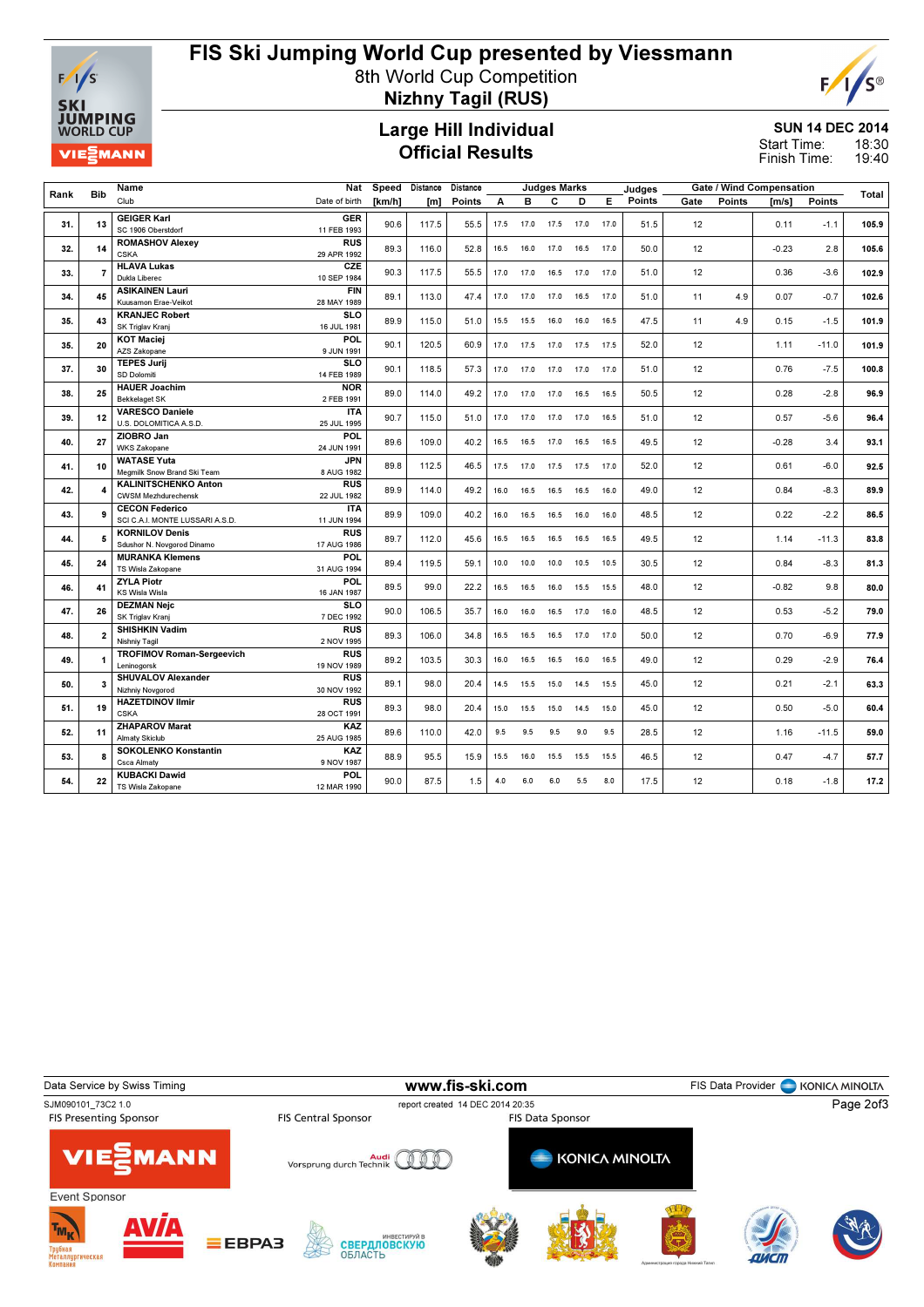

# FIS Ski Jumping World Cup presented by Viessmann

8th World Cup Competition Nizhny Tagil (RUS)

### Large Hill Individual Official Results

#### SUN 14 DEC 2014 18:30 Start Time:

 $F$ 

S®

19:40 Finish Time:

|      |                | <b>Judges Marks</b><br>Name<br>Speed Distance<br><b>Distance</b><br>Nat |                           |        |                |        | Gate / Wind Compensation<br>Judges |           |      |      |      |        |      |               |         |               |       |
|------|----------------|-------------------------------------------------------------------------|---------------------------|--------|----------------|--------|------------------------------------|-----------|------|------|------|--------|------|---------------|---------|---------------|-------|
| Rank | <b>Bib</b>     | Club                                                                    | Date of birth             | [km/h] | $\mathsf{[m]}$ | Points | A                                  | в         | c    | D    | Е    | Points | Gate | <b>Points</b> | Im/s1   | <b>Points</b> | Total |
|      |                | <b>GEIGER Karl</b>                                                      | GER                       |        |                |        |                                    |           |      |      |      |        |      |               |         |               |       |
| 31.  | 13             | SC 1906 Oberstdorf                                                      | 11 FEB 1993               | 90.6   | 117.5          | 55.5   | 17.5                               | 17.0      | 17.5 | 17.0 | 17.0 | 51.5   | 12   |               | 0.11    | $-1.1$        | 105.9 |
| 32.  | 14             | <b>ROMASHOV Alexey</b>                                                  | <b>RUS</b>                | 89.3   | 116.0          | 52.8   | 16.5                               | 16.0      | 17.0 | 16.5 | 17.0 | 50.0   | 12   |               | $-0.23$ | 2.8           | 105.6 |
|      |                | <b>CSKA</b>                                                             | 29 APR 1992               |        |                |        |                                    |           |      |      |      |        |      |               |         |               |       |
| 33.  | 7              | <b>HLAVA Lukas</b><br>Dukla Liberec                                     | <b>CZE</b><br>10 SEP 1984 | 90.3   | 117.5          | 55.5   | 17.0                               | 17.0      | 16.5 | 17.0 | 17.0 | 51.0   | 12   |               | 0.36    | $-3.6$        | 102.9 |
|      |                | <b>ASIKAINEN Lauri</b>                                                  | <b>FIN</b>                |        |                |        |                                    |           |      |      |      |        |      |               |         |               |       |
| 34.  | 45             | Kuusamon Erae-Veikot                                                    | 28 MAY 1989               | 89.1   | 113.0          | 47.4   | 17.0                               | 17.0      | 17.0 | 16.5 | 17.0 | 51.0   | 11   | 4.9           | 0.07    | $-0.7$        | 102.6 |
|      |                | <b>KRANJEC Robert</b>                                                   | <b>SLO</b>                |        |                |        |                                    |           |      |      |      |        |      |               |         |               |       |
| 35.  | 43             | SK Triglav Krani                                                        | 16 JUL 1981               | 89.9   | 115.0          | 51.0   | 15.5                               | 15.5      | 16.0 | 16.0 | 16.5 | 47.5   | 11   | 4.9           | 0.15    | $-1.5$        | 101.9 |
| 35.  | 20             | <b>KOT Maciei</b>                                                       | POL                       | 90.1   | 120.5          | 60.9   |                                    | 17.0 17.5 | 17.0 | 17.5 | 17.5 | 52.0   | 12   |               | 1.11    | $-11.0$       | 101.9 |
|      |                | AZS Zakopane                                                            | 9 JUN 1991                |        |                |        |                                    |           |      |      |      |        |      |               |         |               |       |
| 37.  | 30             | <b>TEPES Jurij</b><br>SD Dolomiti                                       | <b>SLO</b><br>14 FEB 1989 | 90.1   | 118.5          | 57.3   | 17.0                               | 17.0      | 17.0 | 17.0 | 17.0 | 51.0   | 12   |               | 0.76    | $-7.5$        | 100.8 |
|      |                | <b>HAUER Joachim</b>                                                    | <b>NOR</b>                |        |                |        |                                    |           |      |      |      |        |      |               |         |               |       |
| 38.  | 25             | <b>Bekkelaget SK</b>                                                    | 2 FEB 1991                | 89.0   | 114.0          | 49.2   |                                    | 17.0 17.0 | 17.0 | 16.5 | 16.5 | 50.5   | 12   |               | 0.28    | $-2.8$        | 96.9  |
|      |                | <b>VARESCO Daniele</b>                                                  | <b>ITA</b>                |        |                |        |                                    |           |      |      |      |        |      |               |         |               |       |
| 39.  | 12             | U.S. DOLOMITICA A.S.D.                                                  | 25 JUL 1995               | 90.7   | 115.0          | 51.0   |                                    | 17.0 17.0 | 17.0 | 17.0 | 16.5 | 51.0   | 12   |               | 0.57    | $-5.6$        | 96.4  |
| 40.  | 27             | ZIOBRO Jan                                                              | <b>POL</b>                | 89.6   | 109.0          | 40.2   |                                    | 16.5 16.5 | 17.0 | 16.5 | 16.5 | 49.5   | 12   |               | $-0.28$ | 3.4           | 93.1  |
|      |                | <b>WKS Zakopane</b>                                                     | 24 JUN 1991               |        |                |        |                                    |           |      |      |      |        |      |               |         |               |       |
| 41.  | 10             | <b>WATASE Yuta</b>                                                      | <b>JPN</b>                | 89.8   | 112.5          | 46.5   |                                    | 17.5 17.0 | 17.5 | 17.5 | 17.0 | 52.0   | 12   |               | 0.61    | $-6.0$        | 92.5  |
|      |                | Megmilk Snow Brand Ski Team<br><b>KALINITSCHENKO Anton</b>              | 8 AUG 1982<br><b>RUS</b>  |        |                |        |                                    |           |      |      |      |        |      |               |         |               |       |
| 42.  | 4              | <b>CWSM Mezhdurechensk</b>                                              | 22 JUL 1982               | 89.9   | 114.0          | 49.2   |                                    | 16.0 16.5 | 16.5 | 16.5 | 16.0 | 49.0   | 12   |               | 0.84    | $-8.3$        | 89.9  |
|      |                | <b>CECON Federico</b>                                                   | <b>ITA</b>                |        |                |        |                                    |           |      |      |      |        |      |               |         |               |       |
| 43.  | 9              | SCI C.A.I. MONTE LUSSARI A.S.D.                                         | 11 JUN 1994               | 89.9   | 109.0          | 40.2   | 16.0                               | 16.5      | 16.5 | 16.0 | 16.0 | 48.5   | 12   |               | 0.22    | $-2.2$        | 86.5  |
| 44.  | 5              | <b>KORNILOV Denis</b>                                                   | <b>RUS</b>                | 89.7   | 112.0          | 45.6   |                                    | 16.5 16.5 | 16.5 | 16.5 | 16.5 | 49.5   | 12   |               | 1.14    | $-11.3$       | 83.8  |
|      |                | Sdushor N. Novgorod Dinamo                                              | 17 AUG 1986               |        |                |        |                                    |           |      |      |      |        |      |               |         |               |       |
| 45.  | 24             | <b>MURANKA Klemens</b>                                                  | <b>POL</b>                | 89.4   | 119.5          | 59.1   | 10.0                               | 10.0      | 10.0 | 10.5 | 10.5 | 30.5   | 12   |               | 0.84    | $-8.3$        | 81.3  |
|      |                | <b>TS Wisla Zakopane</b><br><b>ZYLA Piotr</b>                           | 31 AUG 1994<br><b>POL</b> |        |                |        |                                    |           |      |      |      |        |      |               |         |               |       |
| 46.  | 41             | KS Wisla Wisla                                                          | 16 JAN 1987               | 89.5   | 99.0           | 22.2   | 16.5                               | 16.5      | 16.0 | 15.5 | 15.5 | 48.0   | 12   |               | $-0.82$ | 9.8           | 80.0  |
|      |                | <b>DEZMAN Nejc</b>                                                      | SLO                       |        |                |        |                                    |           |      |      |      |        |      |               |         |               |       |
| 47.  | 26             | SK Triglav Kranj                                                        | 7 DEC 1992                | 90.0   | 106.5          | 35.7   | 16.0                               | 16.0      | 16.5 | 17.0 | 16.0 | 48.5   | 12   |               | 0.53    | $-5.2$        | 79.0  |
| 48.  | $\overline{2}$ | <b>SHISHKIN Vadim</b>                                                   | <b>RUS</b>                | 89.3   | 106.0          | 34.8   | 16.5                               | 16.5      | 16.5 | 17.0 | 17.0 | 50.0   | 12   |               | 0.70    | $-6.9$        | 77.9  |
|      |                | Nishniy Tagil                                                           | 2 NOV 1995                |        |                |        |                                    |           |      |      |      |        |      |               |         |               |       |
| 49.  | 1              | <b>TROFIMOV Roman-Sergeevich</b>                                        | <b>RUS</b>                | 89.2   | 103.5          | 30.3   | 16.0                               | 16.5      | 16.5 | 16.0 | 16.5 | 49.0   | 12   |               | 0.29    | $-2.9$        | 76.4  |
|      |                | Leninogorsk<br><b>SHUVALOV Alexander</b>                                | 19 NOV 1989<br><b>RUS</b> |        |                |        |                                    |           |      |      |      |        |      |               |         |               |       |
| 50.  | $\mathbf{3}$   | Nizhniy Novgorod                                                        | 30 NOV 1992               | 89.1   | 98.0           | 20.4   | 14.5                               | 15.5      | 15.0 | 14.5 | 15.5 | 45.0   | 12   |               | 0.21    | $-2.1$        | 63.3  |
|      |                | <b>HAZETDINOV Ilmir</b>                                                 | <b>RUS</b>                |        |                |        |                                    |           |      |      |      |        |      |               |         |               |       |
| 51.  | 19             | <b>CSKA</b>                                                             | 28 OCT 1991               | 89.3   | 98.0           | 20.4   | 15.0                               | 15.5      | 15.0 | 14.5 | 15.0 | 45.0   | 12   |               | 0.50    | $-5.0$        | 60.4  |
| 52.  | 11             | <b>ZHAPAROV Marat</b>                                                   | KAZ                       | 89.6   | 110.0          | 42.0   | 9.5                                | 9.5       | 9.5  | 9.0  | 9.5  | 28.5   | 12   |               | 1.16    | $-11.5$       | 59.0  |
|      |                | <b>Almaty Skiclub</b>                                                   | 25 AUG 1985               |        |                |        |                                    |           |      |      |      |        |      |               |         |               |       |
| 53.  | 8              | <b>SOKOLENKO Konstantin</b>                                             | KAZ                       | 88.9   | 95.5           | 15.9   | 15.5                               | 16.0      | 15.5 | 15.5 | 15.5 | 46.5   | 12   |               | 0.47    | $-4.7$        | 57.7  |
|      |                | <b>Csca Almaty</b><br><b>KUBACKI Dawid</b>                              | 9 NOV 1987<br><b>POL</b>  |        |                |        |                                    |           |      |      |      |        |      |               |         |               |       |
| 54.  | 22             | TS Wisla Zakopane                                                       | 12 MAR 1990               | 90.0   | 87.5           | 1.5    | 4.0                                | 6.0       | 6.0  | 5.5  | 8.0  | 17.5   | 12   |               | 0.18    | $-1.8$        | 17.2  |
|      |                |                                                                         |                           |        |                |        |                                    |           |      |      |      |        |      |               |         |               |       |